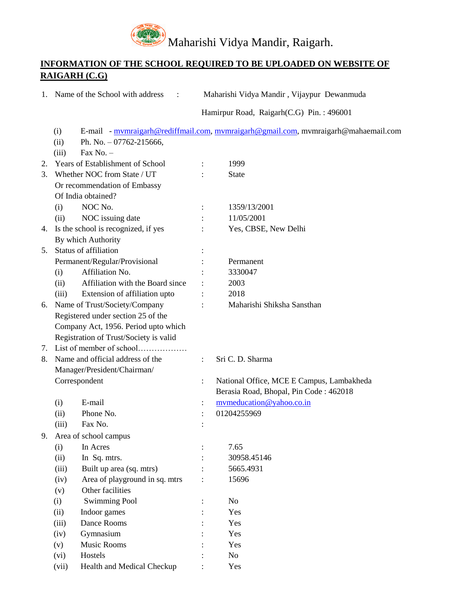

## **INFORMATION OF THE SCHOOL REQUIRED TO BE UPLOADED ON WEBSITE OF RAIGARH (C.G)**

|    | 1. Name of the School with address                                             |                | Maharishi Vidya Mandir, Vijaypur Dewanmuda                                         |  |  |  |
|----|--------------------------------------------------------------------------------|----------------|------------------------------------------------------------------------------------|--|--|--|
|    |                                                                                |                | Hamirpur Road, Raigarh(C.G) Pin.: 496001                                           |  |  |  |
|    | (i)<br>(ii)<br>Ph. No. $-07762-215666$ ,                                       |                | E-mail - mymraigarh@rediffmail.com, mymraigarh@gmail.com, mymraigarh@mahaemail.com |  |  |  |
|    | Fax No. $-$<br>(iii)                                                           |                |                                                                                    |  |  |  |
| 2. | Years of Establishment of School                                               | $\ddot{\cdot}$ | 1999                                                                               |  |  |  |
| 3. | Whether NOC from State / UT                                                    |                | <b>State</b>                                                                       |  |  |  |
|    | Or recommendation of Embassy                                                   |                |                                                                                    |  |  |  |
|    | Of India obtained?                                                             |                |                                                                                    |  |  |  |
|    | NOC No.<br>(i)                                                                 |                | 1359/13/2001                                                                       |  |  |  |
|    | NOC issuing date<br>(ii)                                                       |                | 11/05/2001                                                                         |  |  |  |
| 4. | Is the school is recognized, if yes                                            |                | Yes, CBSE, New Delhi                                                               |  |  |  |
|    | By which Authority                                                             |                |                                                                                    |  |  |  |
|    | 5. Status of affiliation                                                       |                |                                                                                    |  |  |  |
|    | Permanent/Regular/Provisional                                                  |                | Permanent                                                                          |  |  |  |
|    | Affiliation No.<br>(i)                                                         |                | 3330047                                                                            |  |  |  |
|    | (ii)<br>Affiliation with the Board since                                       |                | 2003                                                                               |  |  |  |
|    | (iii)                                                                          |                | 2018                                                                               |  |  |  |
|    | Extension of affiliation upto                                                  |                | Maharishi Shiksha Sansthan                                                         |  |  |  |
| 6. | Name of Trust/Society/Company<br>Registered under section 25 of the            |                |                                                                                    |  |  |  |
|    |                                                                                |                |                                                                                    |  |  |  |
|    | Company Act, 1956. Period upto which<br>Registration of Trust/Society is valid |                |                                                                                    |  |  |  |
| 7. | List of member of school                                                       |                |                                                                                    |  |  |  |
| 8. | Name and official address of the                                               |                | Sri C. D. Sharma                                                                   |  |  |  |
|    |                                                                                | $\ddot{\cdot}$ |                                                                                    |  |  |  |
|    | Manager/President/Chairman/                                                    |                | National Office, MCE E Campus, Lambakheda                                          |  |  |  |
|    | Correspondent                                                                  |                | Berasia Road, Bhopal, Pin Code: 462018                                             |  |  |  |
|    | E-mail                                                                         |                |                                                                                    |  |  |  |
|    | (i)<br>Phone No.                                                               |                | mymeducation@yahoo.co.in                                                           |  |  |  |
|    | (ii)                                                                           |                | 01204255969                                                                        |  |  |  |
|    | (iii)<br>Fax No.                                                               |                |                                                                                    |  |  |  |
| 9. | Area of school campus                                                          |                |                                                                                    |  |  |  |
|    | In Acres<br>(i)                                                                |                | 7.65                                                                               |  |  |  |
|    | (ii)<br>In Sq. mtrs.                                                           |                | 30958.45146                                                                        |  |  |  |
|    | Built up area (sq. mtrs)<br>(iii)                                              |                | 5665.4931                                                                          |  |  |  |
|    | Area of playground in sq. mtrs<br>(iv)                                         |                | 15696                                                                              |  |  |  |
|    | Other facilities<br>(v)                                                        |                |                                                                                    |  |  |  |
|    | <b>Swimming Pool</b><br>(i)                                                    |                | N <sub>0</sub>                                                                     |  |  |  |
|    | Indoor games<br>(ii)                                                           |                | Yes                                                                                |  |  |  |
|    | Dance Rooms<br>(iii)                                                           |                | Yes                                                                                |  |  |  |
|    | Gymnasium<br>(iv)                                                              |                | Yes                                                                                |  |  |  |
|    | Music Rooms<br>(v)                                                             |                | Yes                                                                                |  |  |  |
|    | Hostels<br>(vi)                                                                |                | No                                                                                 |  |  |  |
|    | Health and Medical Checkup<br>(vii)                                            |                | Yes                                                                                |  |  |  |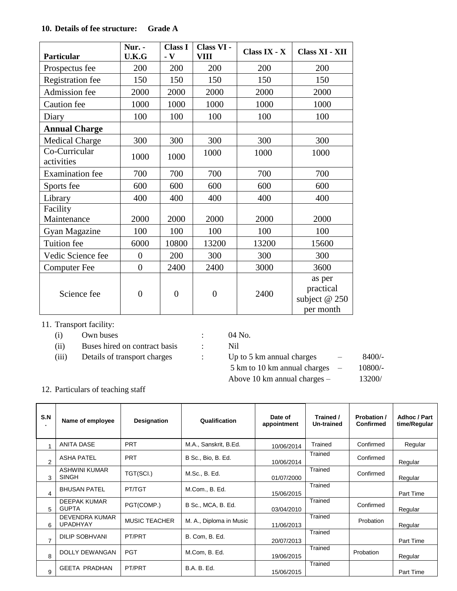## **10. Details of fee structure: Grade A**

| Particular                  | Nur. -<br>U.K.G  | <b>Class I</b><br>$\overline{\mathbf{v}}$ | Class VI -<br><b>VIII</b> | Class IX - X | Class XI - XII                                    |
|-----------------------------|------------------|-------------------------------------------|---------------------------|--------------|---------------------------------------------------|
| Prospectus fee              | 200              | 200                                       | 200                       | 200          | 200                                               |
| <b>Registration</b> fee     | 150              | 150                                       | 150                       | 150          | 150                                               |
| Admission fee               | 2000             | 2000                                      | 2000                      | 2000         | 2000                                              |
| Caution fee                 | 1000             | 1000                                      | 1000                      | 1000         | 1000                                              |
| Diary                       | 100              | 100                                       | 100                       | 100          | 100                                               |
| <b>Annual Charge</b>        |                  |                                           |                           |              |                                                   |
| <b>Medical Charge</b>       | 300              | 300                                       | 300                       | 300          | 300                                               |
| Co-Curricular<br>activities | 1000             | 1000                                      | 1000                      | 1000         | 1000                                              |
| <b>Examination</b> fee      | 700              | 700                                       | 700                       | 700          | 700                                               |
| Sports fee                  | 600              | 600                                       | 600                       | 600          | 600                                               |
| Library                     | 400              | 400                                       | 400                       | 400          | 400                                               |
| Facility<br>Maintenance     | 2000             | 2000                                      | 2000                      | 2000         | 2000                                              |
| Gyan Magazine               | 100              | 100                                       | 100                       | 100          | 100                                               |
| Tuition fee                 | 6000             | 10800                                     | 13200                     | 13200        | 15600                                             |
| Vedic Science fee           | $\Omega$         | 200                                       | 300                       | 300          | 300                                               |
| Computer Fee                | $\overline{0}$   | 2400                                      | 2400                      | 3000         | 3600                                              |
| Science fee                 | $\boldsymbol{0}$ | $\overline{0}$                            | $\overline{0}$            | 2400         | as per<br>practical<br>subject @ 250<br>per month |

## 11. Transport facility:

- (i) Own buses : 04 No.
- (ii) Buses hired on contract basis : Nil
	-

| 04 | N <sub>0</sub> |
|----|----------------|
|----|----------------|

(iii) Details of transport charges : Up to 5 km annual charges - 8400/-5 km to 10 km annual charges  $-$  10800/-Above 10 km annual charges – 13200/

12. Particulars of teaching staff

| S.N<br>٠.      | Name of employee                         | Designation          | Qualification           | Date of<br>appointment | Trained /<br>Un-trained | Probation /<br><b>Confirmed</b> | Adhoc / Part<br>time/Regular |
|----------------|------------------------------------------|----------------------|-------------------------|------------------------|-------------------------|---------------------------------|------------------------------|
| 1              | <b>ANITA DASE</b>                        | <b>PRT</b>           | M.A., Sanskrit, B.Ed.   | 10/06/2014             | Trained                 | Confirmed                       | Regular                      |
| $\overline{2}$ | <b>ASHA PATEL</b>                        | <b>PRT</b>           | B Sc., Bio, B. Ed.      | 10/06/2014             | Trained                 | Confirmed                       | Regular                      |
| 3              | ASHWINI KUMAR<br><b>SINGH</b>            | TGT(SCI.)            | M.Sc., B. Ed.           | 01/07/2000             | Trained                 | Confirmed                       | Regular                      |
| 4              | <b>BHUSAN PATEL</b>                      | PT/TGT               | M.Com., B. Ed.          | 15/06/2015             | Trained                 |                                 | Part Time                    |
| 5              | <b>DEEPAK KUMAR</b><br><b>GUPTA</b>      | PGT(COMP.)           | B Sc., MCA, B. Ed.      | 03/04/2010             | Trained                 | Confirmed                       | Regular                      |
| 6              | <b>DEVENDRA KUMAR</b><br><b>UPADHYAY</b> | <b>MUSIC TEACHER</b> | M. A., Diploma in Music | 11/06/2013             | Trained                 | Probation                       | Regular                      |
| $\overline{7}$ | <b>DILIP SOBHVANI</b>                    | PT/PRT               | B. Com, B. Ed.          | 20/07/2013             | Trained                 |                                 | Part Time                    |
| 8              | DOLLY DEWANGAN                           | <b>PGT</b>           | M.Com, B. Ed.           | 19/06/2015             | Trained                 | Probation                       | Regular                      |
| 9              | <b>GEETA PRADHAN</b>                     | PT/PRT               | <b>B.A. B. Ed.</b>      | 15/06/2015             | Trained                 |                                 | Part Time                    |